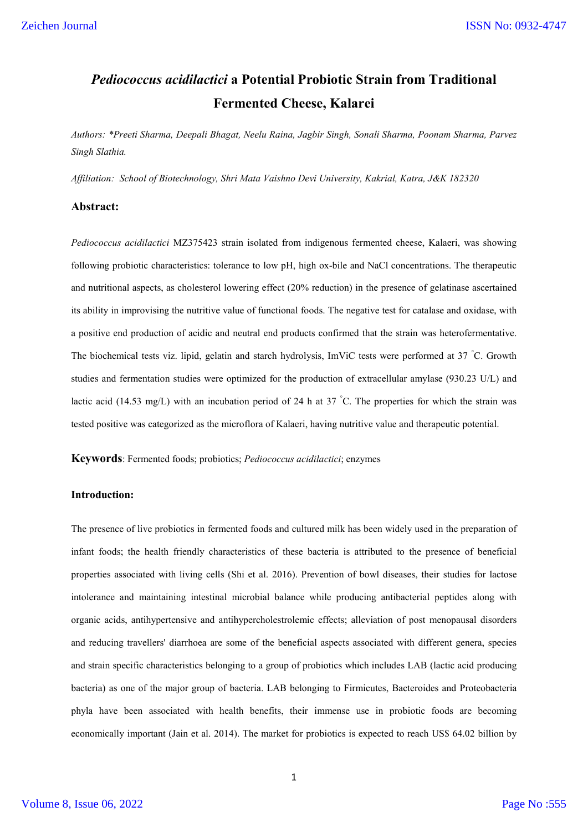# *Pediococcus acidilactici* **a Potential Probiotic Strain from Traditional Fermented Cheese, Kalarei**

*Authors: \*Preeti Sharma, Deepali Bhagat, Neelu Raina, Jagbir Singh, Sonali Sharma, Poonam Sharma, Parvez Singh Slathia.*

*Affiliation: School of Biotechnology, Shri Mata Vaishno Devi University, Kakrial, Katra, J&K 182320*

## **Abstract:**

*Pediococcus acidilactici* MZ375423 strain isolated from indigenous fermented cheese, Kalaeri, was showing following probiotic characteristics: tolerance to low pH, high ox-bile and NaCl concentrations. The therapeutic and nutritional aspects, as cholesterol lowering effect (20% reduction) in the presence of gelatinase ascertained its ability in improvising the nutritive value of functional foods. The negative test for catalase and oxidase, with a positive end production of acidic and neutral end products confirmed that the strain was heterofermentative. The biochemical tests viz. lipid, gelatin and starch hydrolysis, ImViC tests were performed at 37 °C. Growth studies and fermentation studies were optimized for the production of extracellular amylase (930.23 U/L) and lactic acid (14.53 mg/L) with an incubation period of 24 h at 37 °C. The properties for which the strain was tested positive was categorized as the microflora of Kalaeri, having nutritive value and therapeutic potential.

**Keywords**: Fermented foods; probiotics; *Pediococcus acidilactici*; enzymes

# **Introduction:**

The presence of live probiotics in fermented foods and cultured milk has been widely used in the preparation of infant foods; the health friendly characteristics of these bacteria is attributed to the presence of beneficial properties associated with living cells (Shi et al. 2016). Prevention of bowl diseases, their studies for lactose intolerance and maintaining intestinal microbial balance while producing antibacterial peptides along with organic acids, antihypertensive and antihypercholestrolemic effects; alleviation of post menopausal disorders and reducing travellers' diarrhoea are some of the beneficial aspects associated with different genera, species and strain specific characteristics belonging to a group of probiotics which includes LAB (lactic acid producing bacteria) as one of the major group of bacteria. LAB belonging to Firmicutes, Bacteroides and Proteobacteria phyla have been associated with health benefits, their immense use in probiotic foods are becoming economically important (Jain et al. 2014). The market for probiotics is expected to reach US\$ 64.02 billion by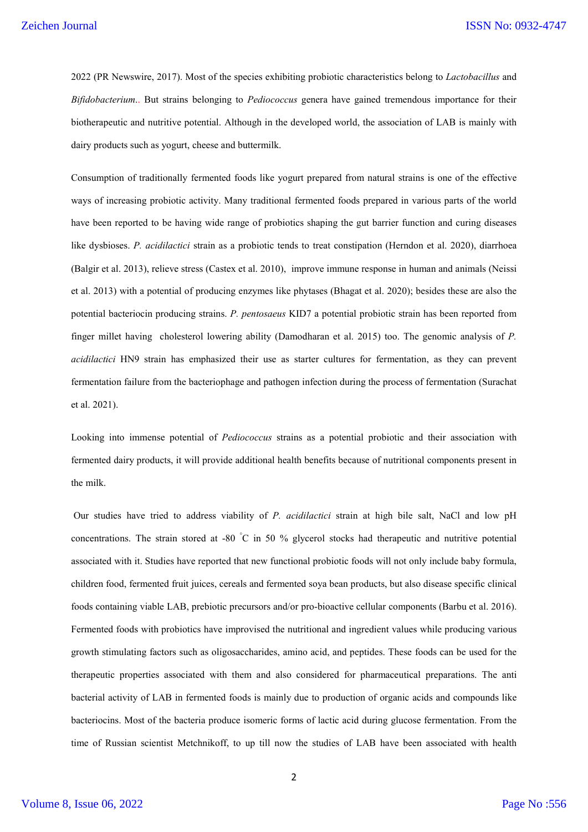2022 (PR Newswire, 2017). Most of the species exhibiting probiotic characteristics belong to *Lactobacillus* and *Bifidobacterium*.. But strains belonging to *Pediococcus* genera have gained tremendous importance for their biotherapeutic and nutritive potential. Although in the developed world, the association of LAB is mainly with dairy products such as yogurt, cheese and buttermilk.

Consumption of traditionally fermented foods like yogurt prepared from natural strains is one of the effective ways of increasing probiotic activity. Many traditional fermented foods prepared in various parts of the world have been reported to be having wide range of probiotics shaping the gut barrier function and curing diseases like dysbioses. *P. acidilactici* strain as a probiotic tends to treat constipation (Herndon et al. 2020), diarrhoea (Balgir et al. 2013), relieve stress (Castex et al. 2010), improve immune response in human and animals (Neissi et al. 2013) with a potential of producing enzymes like phytases (Bhagat et al. 2020); besides these are also the potential bacteriocin producing strains. *P. pentosaeus* KID7 a potential probiotic strain has been reported from finger millet having cholesterol lowering ability (Damodharan et al. 2015) too. The genomic analysis of *P. acidilactici* HN9 strain has emphasized their use as starter cultures for fermentation, as they can prevent fermentation failure from the bacteriophage and pathogen infection during the process of fermentation (Surachat et al. 2021).

Looking into immense potential of *Pediococcus* strains as a potential probiotic and their association with fermented dairy products, it will provide additional health benefits because of nutritional components present in the milk.

Our studies have tried to address viability of *P. acidilactici* strain at high bile salt, NaCl and low pH concentrations. The strain stored at -80 ° C in 50 % glycerol stocks had therapeutic and nutritive potential associated with it. Studies have reported that new functional probiotic foods will not only include baby formula, children food, fermented fruit juices, cereals and fermented soya bean products, but also disease specific clinical foods containing viable LAB, prebiotic precursors and/or pro-bioactive cellular components (Barbu et al. 2016). Fermented foods with probiotics have improvised the nutritional and ingredient values while producing various growth stimulating factors such as oligosaccharides, amino acid, and peptides. These foods can be used for the therapeutic properties associated with them and also considered for pharmaceutical preparations. The anti bacterial activity of LAB in fermented foods is mainly due to production of organic acids and compounds like bacteriocins. Most of the bacteria produce isomeric forms of lactic acid during glucose fermentation. From the time of Russian scientist Metchnikoff, to up till now the studies of LAB have been associated with health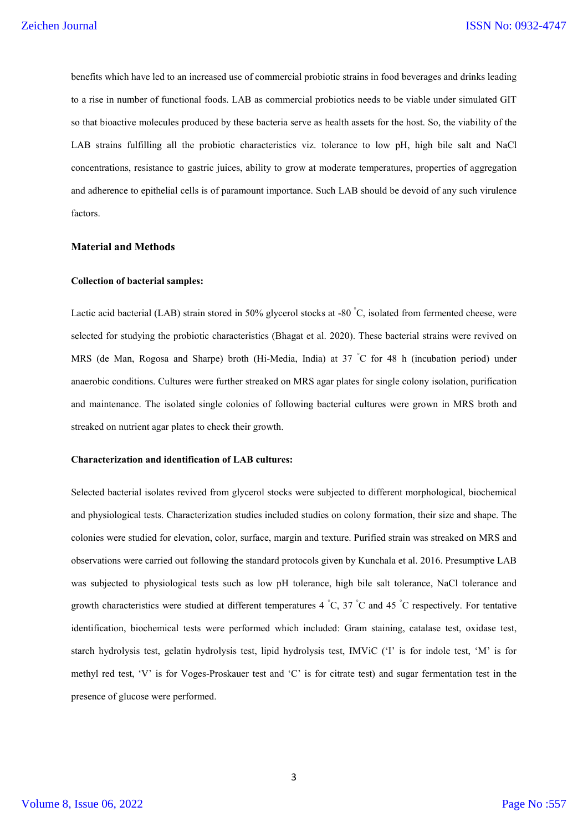benefits which have led to an increased use of commercial probiotic strains in food beverages and drinks leading to a rise in number of functional foods. LAB as commercial probiotics needs to be viable under simulated GIT so that bioactive molecules produced by these bacteria serve as health assets for the host. So, the viability of the LAB strains fulfilling all the probiotic characteristics viz. tolerance to low pH, high bile salt and NaCl concentrations, resistance to gastric juices, ability to grow at moderate temperatures, properties of aggregation and adherence to epithelial cells is of paramount importance. Such LAB should be devoid of any such virulence factors.

## **Material and Methods**

## **Collection of bacterial samples:**

Lactic acid bacterial (LAB) strain stored in 50% glycerol stocks at -80  $^{\circ}$ C, isolated from fermented cheese, were selected for studying the probiotic characteristics (Bhagat et al. 2020). These bacterial strains were revived on MRS (de Man, Rogosa and Sharpe) broth (Hi-Media, India) at 37 ° C for 48 h (incubation period) under anaerobic conditions. Cultures were further streaked on MRS agar plates for single colony isolation, purification and maintenance. The isolated single colonies of following bacterial cultures were grown in MRS broth and streaked on nutrient agar plates to check their growth.

#### **Characterization and identification of LAB cultures:**

Selected bacterial isolates revived from glycerol stocks were subjected to different morphological, biochemical and physiological tests. Characterization studies included studies on colony formation, their size and shape. The colonies were studied for elevation, color, surface, margin and texture. Purified strain was streaked on MRS and observations were carried out following the standard protocols given by Kunchala et al. 2016. Presumptive LAB was subjected to physiological tests such as low pH tolerance, high bile salt tolerance, NaCl tolerance and growth characteristics were studied at different temperatures 4  $^{\circ}C$ , 37  $^{\circ}C$  and 45  $^{\circ}C$  respectively. For tentative identification, biochemical tests were performed which included: Gram staining, catalase test, oxidase test, starch hydrolysis test, gelatin hydrolysis test, lipid hydrolysis test, IMViC ('I' is for indole test, 'M' is for methyl red test, 'V' is for Voges-Proskauer test and 'C' is for citrate test) and sugar fermentation test in the presence of glucose were performed.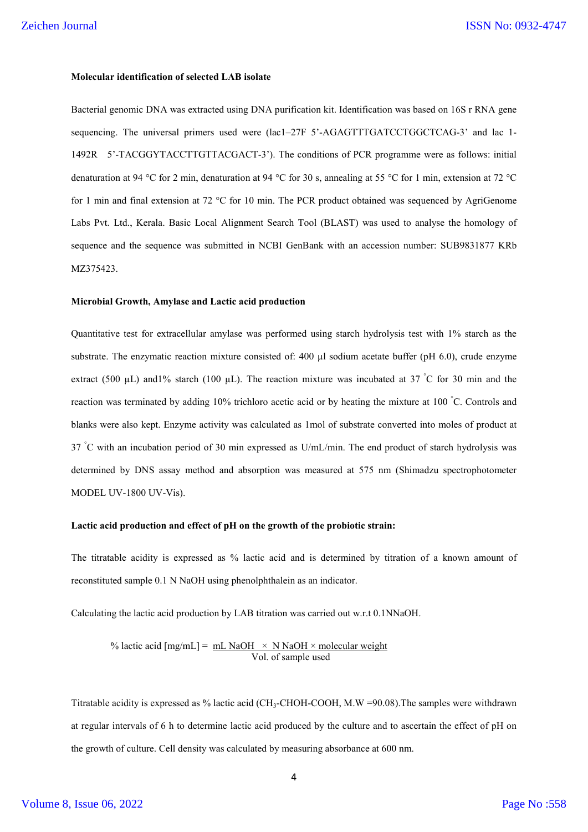## **Molecular identification of selected LAB isolate**

Bacterial genomic DNA was extracted using DNA purification kit. Identification was based on 16S r RNA gene sequencing. The universal primers used were (lac1–27F 5'-AGAGTTTGATCCTGGCTCAG-3' and lac 1- 1492R 5'-TACGGYTACCTTGTTACGACT-3'). The conditions of PCR programme were as follows: initial denaturation at 94 °C for 2 min, denaturation at 94 °C for 30 s, annealing at 55 °C for 1 min, extension at 72 °C for 1 min and final extension at 72 °C for 10 min. The PCR product obtained was sequenced by AgriGenome Labs Pvt. Ltd., Kerala. Basic Local Alignment Search Tool (BLAST) was used to analyse the homology of sequence and the sequence was submitted in NCBI GenBank with an accession number: SUB9831877 KRb MZ375423.

#### **Microbial Growth, Amylase and Lactic acid production**

Quantitative test for extracellular amylase was performed using starch hydrolysis test with 1% starch as the substrate. The enzymatic reaction mixture consisted of: 400 µl sodium acetate buffer (pH 6.0), crude enzyme extract (500 µL) and 1% starch (100 µL). The reaction mixture was incubated at 37 °C for 30 min and the reaction was terminated by adding 10% trichloro acetic acid or by heating the mixture at 100 °C. Controls and blanks were also kept. Enzyme activity was calculated as 1mol of substrate converted into moles of product at 37 °C with an incubation period of 30 min expressed as U/mL/min. The end product of starch hydrolysis was determined by DNS assay method and absorption was measured at 575 nm (Shimadzu spectrophotometer MODEL UV-1800 UV-Vis).

#### **Lactic acid production and effect of pH on the growth of the probiotic strain:**

The titratable acidity is expressed as % lactic acid and is determined by titration of a known amount of reconstituted sample 0.1 N NaOH using phenolphthalein as an indicator.

Calculating the lactic acid production by LAB titration was carried out w.r.t 0.1NNaOH.

% lactic acid  $[mg/mL] = mL NaOH \times N NaOH \times molecular weight$ Vol. of sample used

Titratable acidity is expressed as % lactic acid (CH<sub>3</sub>-CHOH-COOH, M.W =90.08). The samples were withdrawn at regular intervals of 6 h to determine lactic acid produced by the culture and to ascertain the effect of pH on the growth of culture. Cell density was calculated by measuring absorbance at 600 nm.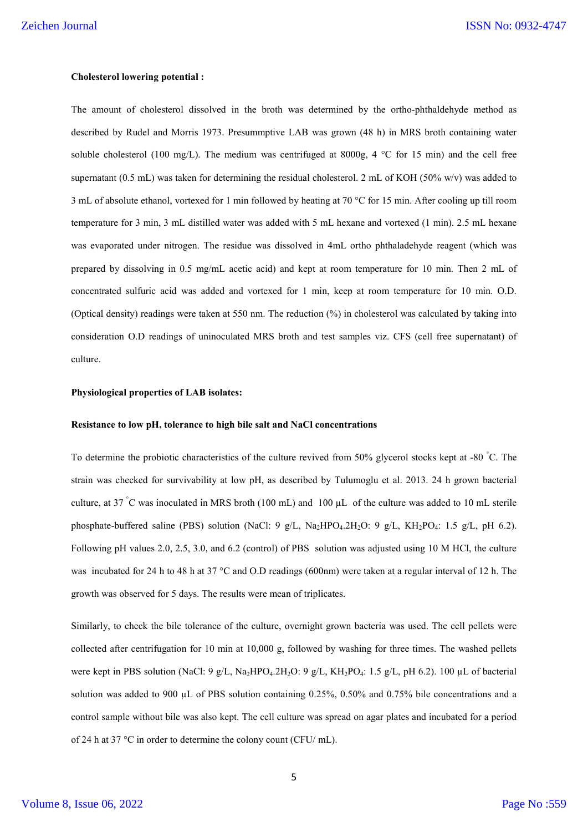## **Cholesterol lowering potential :**

The amount of cholesterol dissolved in the broth was determined by the ortho-phthaldehyde method as described by Rudel and Morris 1973. Presummptive LAB was grown (48 h) in MRS broth containing water soluble cholesterol (100 mg/L). The medium was centrifuged at  $8000g$ ,  $4 °C$  for 15 min) and the cell free supernatant (0.5 mL) was taken for determining the residual cholesterol. 2 mL of KOH (50% w/v) was added to 3 mL of absolute ethanol, vortexed for 1 min followed by heating at 70 °C for 15 min. After cooling up till room temperature for 3 min, 3 mL distilled water was added with 5 mL hexane and vortexed (1 min). 2.5 mL hexane was evaporated under nitrogen. The residue was dissolved in 4mL ortho phthaladehyde reagent (which was prepared by dissolving in 0.5 mg/mL acetic acid) and kept at room temperature for 10 min. Then 2 mL of concentrated sulfuric acid was added and vortexed for 1 min, keep at room temperature for 10 min. O.D. (Optical density) readings were taken at 550 nm. The reduction (%) in cholesterol was calculated by taking into consideration O.D readings of uninoculated MRS broth and test samples viz. CFS (cell free supernatant) of culture.

#### **Physiological properties of LAB isolates:**

#### **Resistance to low pH, tolerance to high bile salt and NaCl concentrations**

To determine the probiotic characteristics of the culture revived from 50% glycerol stocks kept at -80 °C. The strain was checked for survivability at low pH, as described by Tulumoglu et al. 2013. 24 h grown bacterial culture, at 37 °C was inoculated in MRS broth (100 mL) and 100  $\mu$ L of the culture was added to 10 mL sterile phosphate-buffered saline (PBS) solution (NaCl: 9 g/L, Na<sub>2</sub>HPO<sub>4</sub>.2H<sub>2</sub>O: 9 g/L, KH<sub>2</sub>PO<sub>4</sub>: 1.5 g/L, pH 6.2). Following pH values 2.0, 2.5, 3.0, and 6.2 (control) of PBS solution was adjusted using 10 M HCl, the culture was incubated for 24 h to 48 h at 37 °C and O.D readings (600nm) were taken at a regular interval of 12 h. The growth was observed for 5 days. The results were mean of triplicates.

Similarly, to check the bile tolerance of the culture, overnight grown bacteria was used. The cell pellets were collected after centrifugation for 10 min at 10,000 g, followed by washing for three times. The washed pellets were kept in PBS solution (NaCl: 9 g/L, Na<sub>2</sub>HPO<sub>4</sub>.2H<sub>2</sub>O: 9 g/L, KH<sub>2</sub>PO<sub>4</sub>: 1.5 g/L, pH 6.2). 100 µL of bacterial solution was added to 900  $\mu$ L of PBS solution containing 0.25%, 0.50% and 0.75% bile concentrations and a control sample without bile was also kept. The cell culture was spread on agar plates and incubated for a period of 24 h at 37 °C in order to determine the colony count (CFU/ mL).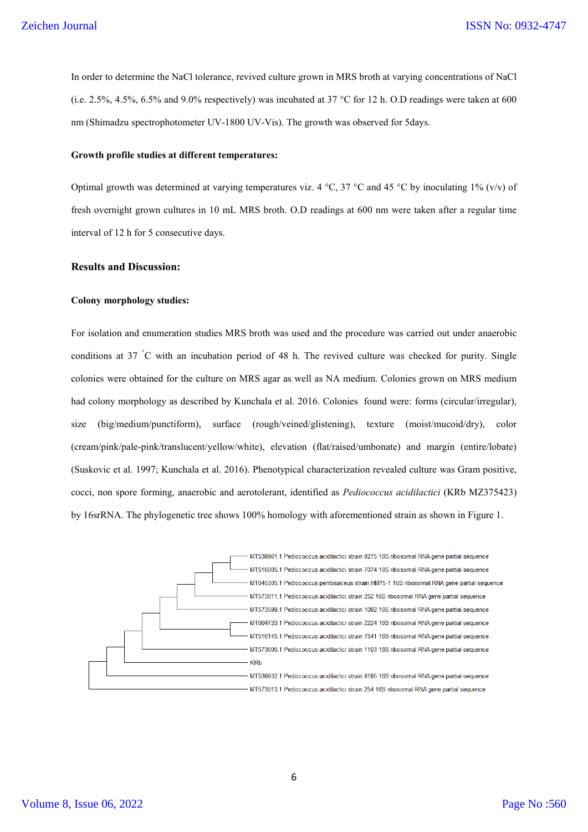In order to determine the NaCl tolerance, revived culture grown in MRS broth at varying concentrations of NaCl (i.e. 2.5%, 4.5%, 6.5% and 9.0% respectively) was incubated at 37 °C for 12 h. O.D readings were taken at 600 nm (Shimadzu spectrophotometer UV-1800 UV-Vis). The growth was observed for 5days.

#### **Growth profile studies at different temperatures:**

Optimal growth was determined at varying temperatures viz. 4 °C, 37 °C and 45 °C by inoculating 1% (v/v) of fresh overnight grown cultures in 10 mL MRS broth. O.D readings at 600 nm were taken after a regular time interval of 12 h for 5 consecutive days.

## **Results and Discussion:**

## **Colony morphology studies:**

For isolation and enumeration studies MRS broth was used and the procedure was carried out under anaerobic conditions at 37 °C with an incubation period of 48 h. The revived culture was checked for purity. Single colonies were obtained for the culture on MRS agar as well as NA medium. Colonies grown on MRS medium had colony morphology as described by Kunchala et al. 2016. Colonies found were: forms (circular/irregular), size (big/medium/punctiform), surface (rough/veined/glistening), texture (moist/mucoid/dry), color (cream/pink/pale-pink/translucent/yellow/white), elevation (flat/raised/umbonate) and margin (entire/lobate) (Suskovic et al. 1997; Kunchala et al. 2016). Phenotypical characterization revealed culture was Gram positive, cocci, non spore forming, anaerobic and aerotolerant, identified as *Pediococcus acidilactici* (KRb MZ375423) by 16srRNA. The phylogenetic tree shows 100% homology with aforementioned strain as shown in Figure 1.

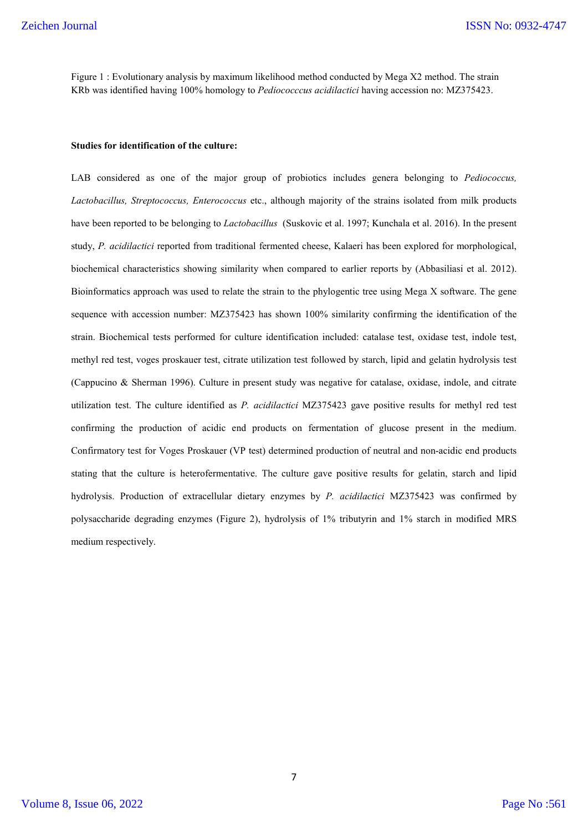Figure 1 : Evolutionary analysis by maximum likelihood method conducted by Mega X2 method. The strain KRb was identified having 100% homology to *Pediococccus acidilactici* having accession no: MZ375423.

## **Studies for identification of the culture:**

LAB considered as one of the major group of probiotics includes genera belonging to *Pediococcus, Lactobacillus, Streptococcus, Enterococcus* etc., although majority of the strains isolated from milk products have been reported to be belonging to *Lactobacillus* (Suskovic et al. 1997; Kunchala et al. 2016). In the present study, *P. acidilactici* reported from traditional fermented cheese, Kalaeri has been explored for morphological, biochemical characteristics showing similarity when compared to earlier reports by (Abbasiliasi et al. 2012). Bioinformatics approach was used to relate the strain to the phylogentic tree using Mega X software. The gene sequence with accession number: MZ375423 has shown 100% similarity confirming the identification of the strain. Biochemical tests performed for culture identification included: catalase test, oxidase test, indole test, methyl red test, voges proskauer test, citrate utilization test followed by starch, lipid and gelatin hydrolysis test (Cappucino & Sherman 1996). Culture in present study was negative for catalase, oxidase, indole, and citrate utilization test. The culture identified as *P. acidilactici* MZ375423 gave positive results for methyl red test confirming the production of acidic end products on fermentation of glucose present in the medium. Confirmatory test for Voges Proskauer (VP test) determined production of neutral and non-acidic end products stating that the culture is heterofermentative. The culture gave positive results for gelatin, starch and lipid hydrolysis. Production of extracellular dietary enzymes by *P. acidilactici* MZ375423 was confirmed by polysaccharide degrading enzymes (Figure 2), hydrolysis of 1% tributyrin and 1% starch in modified MRS medium respectively.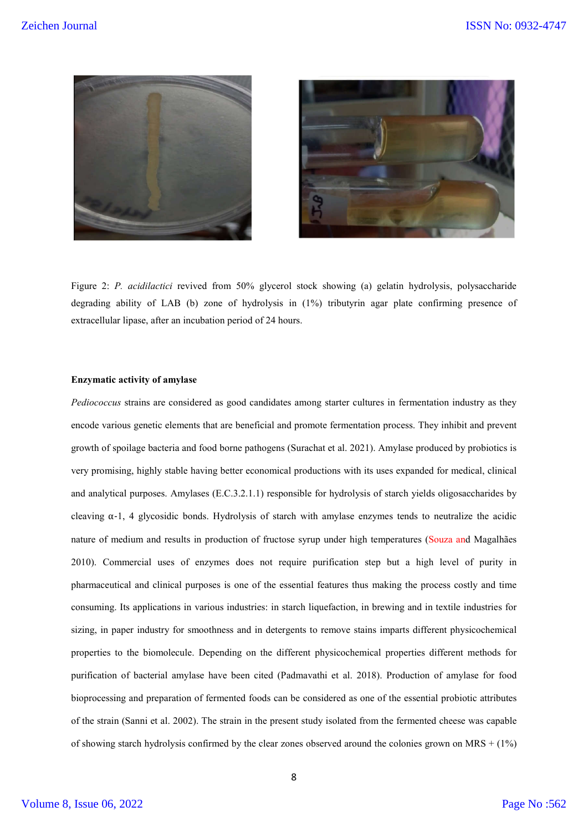



Figure 2: *P. acidilactici* revived from 50% glycerol stock showing (a) gelatin hydrolysis, polysaccharide degrading ability of LAB (b) zone of hydrolysis in (1%) tributyrin agar plate confirming presence of extracellular lipase, after an incubation period of 24 hours.

## **Enzymatic activity of amylase**

*Pediococcus* strains are considered as good candidates among starter cultures in fermentation industry as they encode various genetic elements that are beneficial and promote fermentation process. They inhibit and prevent growth of spoilage bacteria and food borne pathogens (Surachat et al. 2021). Amylase produced by probiotics is very promising, highly stable having better economical productions with its uses expanded for medical, clinical and analytical purposes. Amylases (E.C.3.2.1.1) responsible for hydrolysis of starch yields oligosaccharides by cleaving  $\alpha$ -1, 4 glycosidic bonds. Hydrolysis of starch with amylase enzymes tends to neutralize the acidic nature of medium and results in production of fructose syrup under high temperatures (Souza and Magalhães 2010). Commercial uses of enzymes does not require purification step but a high level of purity in pharmaceutical and clinical purposes is one of the essential features thus making the process costly and time consuming. Its applications in various industries: in starch liquefaction, in brewing and in textile industries for sizing, in paper industry for smoothness and in detergents to remove stains imparts different physicochemical properties to the biomolecule. Depending on the different physicochemical properties different methods for purification of bacterial amylase have been cited (Padmavathi et al. 2018). Production of amylase for food bioprocessing and preparation of fermented foods can be considered as one of the essential probiotic attributes of the strain (Sanni et al. 2002). The strain in the present study isolated from the fermented cheese was capable of showing starch hydrolysis confirmed by the clear zones observed around the colonies grown on MRS  $+$  (1%)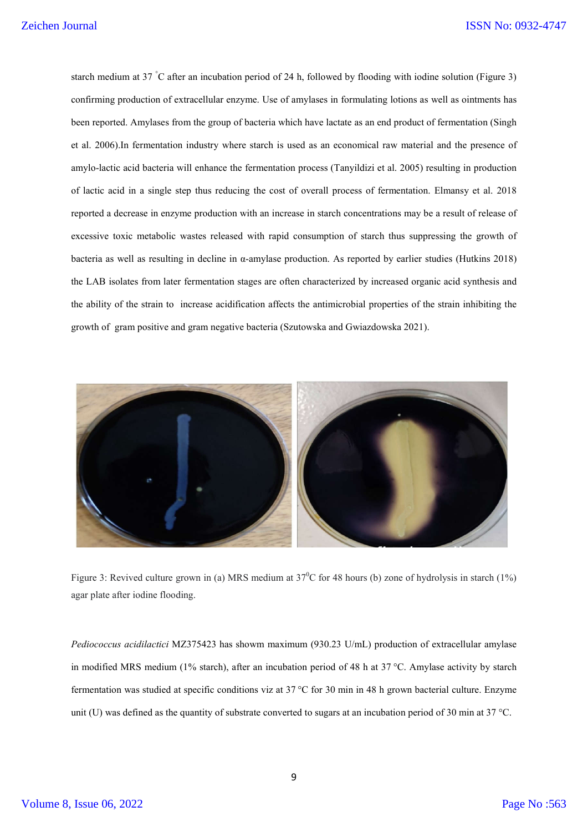starch medium at 37 ° C after an incubation period of 24 h, followed by flooding with iodine solution (Figure 3) confirming production of extracellular enzyme. Use of amylases in formulating lotions as well as ointments has been reported. Amylases from the group of bacteria which have lactate as an end product of fermentation (Singh et al. 2006).In fermentation industry where starch is used as an economical raw material and the presence of amylo-lactic acid bacteria will enhance the fermentation process (Tanyildizi et al. 2005) resulting in production of lactic acid in a single step thus reducing the cost of overall process of fermentation. Elmansy et al. 2018 reported a decrease in enzyme production with an increase in starch concentrations may be a result of release of excessive toxic metabolic wastes released with rapid consumption of starch thus suppressing the growth of bacteria as well as resulting in decline in α-amylase production. As reported by earlier studies (Hutkins 2018) the LAB isolates from later fermentation stages are often characterized by increased organic acid synthesis and the ability of the strain to increase acidification affects the antimicrobial properties of the strain inhibiting the growth of gram positive and gram negative bacteria (Szutowska and Gwiazdowska 2021).



Figure 3: Revived culture grown in (a) MRS medium at  $37^{\circ}$ C for 48 hours (b) zone of hydrolysis in starch (1%) agar plate after iodine flooding.

*Pediococcus acidilactici* MZ375423 has showm maximum (930.23 U/mL) production of extracellular amylase in modified MRS medium (1% starch), after an incubation period of 48 h at 37 °C. Amylase activity by starch fermentation was studied at specific conditions viz at 37 °C for 30 min in 48 h grown bacterial culture. Enzyme unit (U) was defined as the quantity of substrate converted to sugars at an incubation period of 30 min at 37 °C.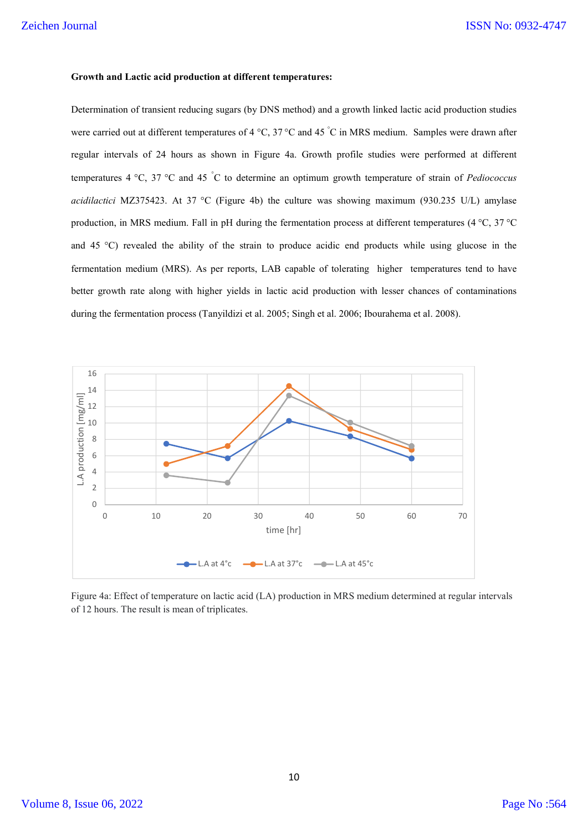## **Growth and Lactic acid production at different temperatures:**

Determination of transient reducing sugars (by DNS method) and a growth linked lactic acid production studies were carried out at different temperatures of 4 °C, 37 °C and 45 °C in MRS medium. Samples were drawn after regular intervals of 24 hours as shown in Figure 4a. Growth profile studies were performed at different temperatures 4 °C, 37 °C and 45 ° C to determine an optimum growth temperature of strain of *Pediococcus acidilactici* MZ375423. At 37 °C (Figure 4b) the culture was showing maximum (930.235 U/L) amylase production, in MRS medium. Fall in pH during the fermentation process at different temperatures (4 °C, 37 °C and 45 °C) revealed the ability of the strain to produce acidic end products while using glucose in the fermentation medium (MRS). As per reports, LAB capable of tolerating higher temperatures tend to have better growth rate along with higher yields in lactic acid production with lesser chances of contaminations during the fermentation process (Tanyildizi et al. 2005; Singh et al. 2006; Ibourahema et al. 2008).



Figure 4a: Effect of temperature on lactic acid (LA) production in MRS medium determined at regular intervals of 12 hours. The result is mean of triplicates.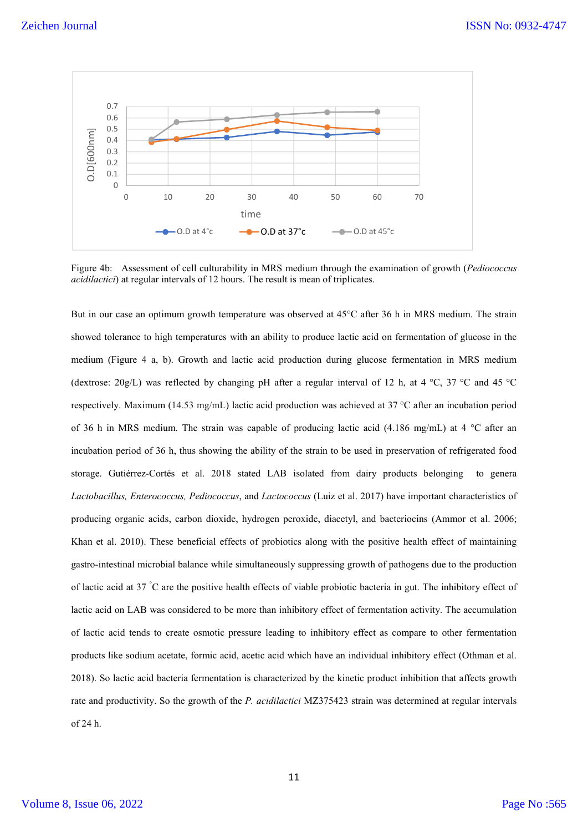

Figure 4b: Assessment of cell culturability in MRS medium through the examination of growth (*Pediococcus acidilactici*) at regular intervals of 12 hours. The result is mean of triplicates.

But in our case an optimum growth temperature was observed at 45°C after 36 h in MRS medium. The strain showed tolerance to high temperatures with an ability to produce lactic acid on fermentation of glucose in the medium (Figure 4 a, b). Growth and lactic acid production during glucose fermentation in MRS medium (dextrose:  $20g/L$ ) was reflected by changing pH after a regular interval of 12 h, at 4 °C, 37 °C and 45 °C respectively. Maximum (14.53 mg/mL) lactic acid production was achieved at 37 °C after an incubation period of 36 h in MRS medium. The strain was capable of producing lactic acid (4.186 mg/mL) at 4  $^{\circ}$ C after an incubation period of 36 h, thus showing the ability of the strain to be used in preservation of refrigerated food storage. Gutiérrez-Cortés et al. 2018 stated LAB isolated from dairy products belonging to genera *Lactobacillus, Enterococcus, Pediococcus*, and *Lactococcus* (Luiz et al. 2017) have important characteristics of producing organic acids, carbon dioxide, hydrogen peroxide, diacetyl, and bacteriocins (Ammor et al. 2006; Khan et al. 2010). These beneficial effects of probiotics along with the positive health effect of maintaining gastro-intestinal microbial balance while simultaneously suppressing growth of pathogens due to the production of lactic acid at 37 °C are the positive health effects of viable probiotic bacteria in gut. The inhibitory effect of lactic acid on LAB was considered to be more than inhibitory effect of fermentation activity. The accumulation of lactic acid tends to create osmotic pressure leading to inhibitory effect as compare to other fermentation products like sodium acetate, formic acid, acetic acid which have an individual inhibitory effect (Othman et al. 2018). So lactic acid bacteria fermentation is characterized by the kinetic product inhibition that affects growth rate and productivity. So the growth of the *P. acidilactici* MZ375423 strain was determined at regular intervals of 24 h.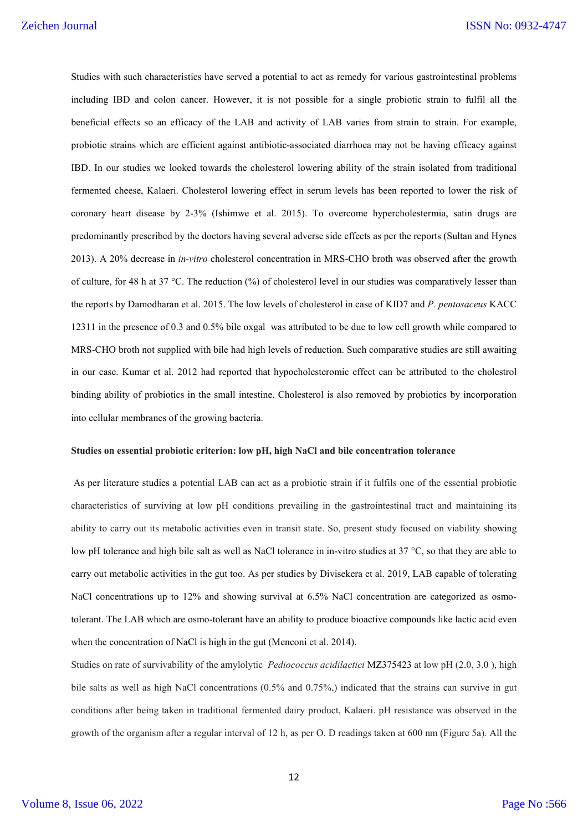Studies with such characteristics have served a potential to act as remedy for various gastrointestinal problems including IBD and colon cancer. However, it is not possible for a single probiotic strain to fulfil all the beneficial effects so an efficacy of the LAB and activity of LAB varies from strain to strain. For example, probiotic strains which are efficient against antibiotic-associated diarrhoea may not be having efficacy against IBD. In our studies we looked towards the cholesterol lowering ability of the strain isolated from traditional fermented cheese, Kalaeri. Cholesterol lowering effect in serum levels has been reported to lower the risk of coronary heart disease by 2-3% (Ishimwe et al. 2015). To overcome hypercholestermia, satin drugs are predominantly prescribed by the doctors having several adverse side effects as per the reports (Sultan and Hynes 2013). A 20% decrease in *in-vitro* cholesterol concentration in MRS-CHO broth was observed after the growth of culture, for 48 h at 37 °C. The reduction (%) of cholesterol level in our studies was comparatively lesser than the reports by Damodharan et al. 2015. The low levels of cholesterol in case of KID7 and *P. pentosaceus* KACC 12311 in the presence of 0.3 and 0.5% bile oxgal was attributed to be due to low cell growth while compared to MRS-CHO broth not supplied with bile had high levels of reduction. Such comparative studies are still awaiting in our case. Kumar et al. 2012 had reported that hypocholesteromic effect can be attributed to the cholestrol binding ability of probiotics in the small intestine. Cholesterol is also removed by probiotics by incorporation into cellular membranes of the growing bacteria.

#### **Studies on essential probiotic criterion: low pH, high NaCl and bile concentration tolerance**

As per literature studies a potential LAB can act as a probiotic strain if it fulfils one of the essential probiotic characteristics of surviving at low pH conditions prevailing in the gastrointestinal tract and maintaining its ability to carry out its metabolic activities even in transit state. So, present study focused on viability showing low pH tolerance and high bile salt as well as NaCl tolerance in in-vitro studies at 37 °C, so that they are able to carry out metabolic activities in the gut too. As per studies by Divisekera et al. 2019, LAB capable of tolerating NaCl concentrations up to 12% and showing survival at 6.5% NaCl concentration are categorized as osmotolerant. The LAB which are osmo-tolerant have an ability to produce bioactive compounds like lactic acid even when the concentration of NaCl is high in the gut (Menconi et al. 2014).

Studies on rate of survivability of the amylolytic *Pediococcus acidilactici* MZ375423 at low pH (2.0, 3.0 ), high bile salts as well as high NaCl concentrations (0.5% and 0.75%,) indicated that the strains can survive in gut conditions after being taken in traditional fermented dairy product, Kalaeri. pH resistance was observed in the growth of the organism after a regular interval of 12 h, as per O. D readings taken at 600 nm (Figure 5a). All the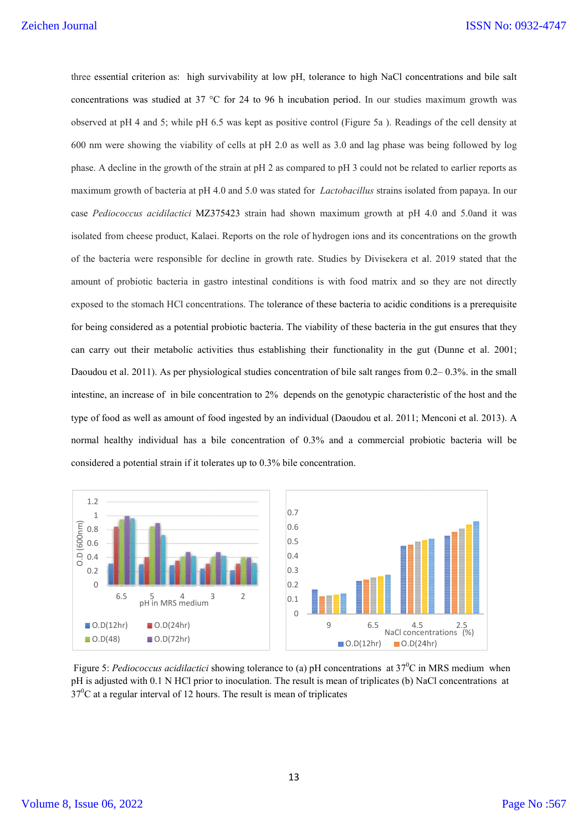three essential criterion as: high survivability at low pH, tolerance to high NaCl concentrations and bile salt concentrations was studied at 37 ° °C for 24 to 96 h incubation period. In our studies maximum growth was observed at pH 4 and 5; while pH 6.5 was kept as positive control (Figure 5a ). Readings of the cell density at concentrations was studied at 37 °C for 24 to 96 h incubation period. In our studies maximum growth was observed at pH 4 and 5; while pH 6.5 was kept as positive control (Figure 5a ). Readings of the cell density at 600 nm phase. A decline in the growth of the strain at pH 2 as compared to pH 3 could not be related to earlier reports as maximum growth of bacteria at pH 4.0 and 5.0 was stated for *Lactobacillus* strains isolated from papaya. In our case *Pediococcus acidilactici* MZ375423 strain had shown maximum growth at pH 4.0 and 5.0and it was maximum growth of bacteria at pH 4.0 and 5.0 was stated for *Lactobacillus* strains isolated from papaya. In our<br>case *Pediococcus acidilactici* MZ375423 strain had shown maximum growth at pH 4.0 and 5.0and it was<br>isolated of the bacteria were responsible for decline in growth rate. Studies by Divisekera et al. 2019 stated that the amount of probiotic bacteria in gastro intestinal conditions is with food matrix and so they are not directly exposed to the stomach HCl concentrations. The tolerance of these bacteria to acidic conditions is a prerequisite for being considered as a potential probiotic bacteria. The viability of these bacteria in the gut ensures that they can carry out their metabolic activities thus establishing their functionality in the gut (Dunne et al. 2001; for being considered as a potential probiotic bacteria. The viability of these bacteria in the gut ensures that they<br>can carry out their metabolic activities thus establishing their functionality in the gut (Dunne et al. 2 intestine, an increase of in bile concentration to 2% depends on the genotypic characteristic of the host and the intestine, an increase of in bile concentration to 2% depends on the genotypic characteristic of the host and the<br>type of food as well as amount of food ingested by an individual (Daoudou et al. 2011; Menconi et al. 2013). normal healthy individual has a bile concentration of 0.3% and a commercial probiotic bacteria will be considered a potential strain if it tolerates up to 0.3% bile concentration. probiotic bacteria in gastro intestinal conditions is with food matrix and so they are not directly<br>the stomach HCl concentrations. The tolerance of these bacteria to acidic conditions is a prerequisite<br>onsidered as a pote



Figure 5: *Pediococcus acidilactici* showing tolerance to (a) pH concentrations at 37<sup>0</sup>C in MRS medium when pH is adjusted with 0.1 N HCl prior to inoculation. The result is mean of triplicates (b) NaCl  $37^0C$  at a regular interval of 12 hours. The result is mean of triplicates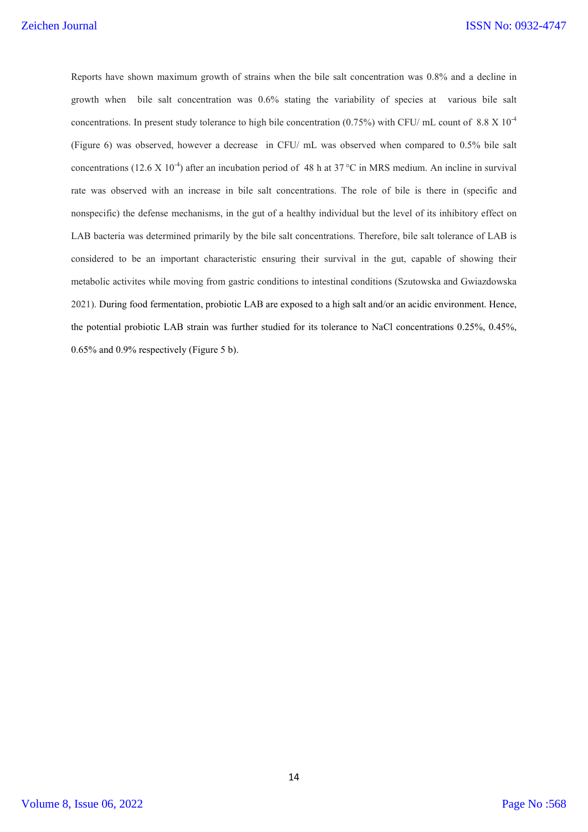Reports have shown maximum growth of strains when the bile salt concentration was 0.8% and a decline in growth when bile salt concentration was 0.6% stating the variability of species at various bile salt concentrations. In present study tolerance to high bile concentration (0.75%) with CFU/ mL count of 8.8 X  $10^{-4}$ (Figure 6) was observed, however a decrease in CFU/ mL was observed when compared to 0.5% bile salt concentrations (12.6 X 10<sup>-4</sup>) after an incubation period of 48 h at 37 °C in MRS medium. An incline in survival rate was observed with an increase in bile salt concentrations. The role of bile is there in (specific and nonspecific) the defense mechanisms, in the gut of a healthy individual but the level of its inhibitory effect on LAB bacteria was determined primarily by the bile salt concentrations. Therefore, bile salt tolerance of LAB is considered to be an important characteristic ensuring their survival in the gut, capable of showing their metabolic activites while moving from gastric conditions to intestinal conditions (Szutowska and Gwiazdowska 2021). During food fermentation, probiotic LAB are exposed to a high salt and/or an acidic environment. Hence, the potential probiotic LAB strain was further studied for its tolerance to NaCl concentrations 0.25%, 0.45%, 0.65% and 0.9% respectively (Figure 5 b).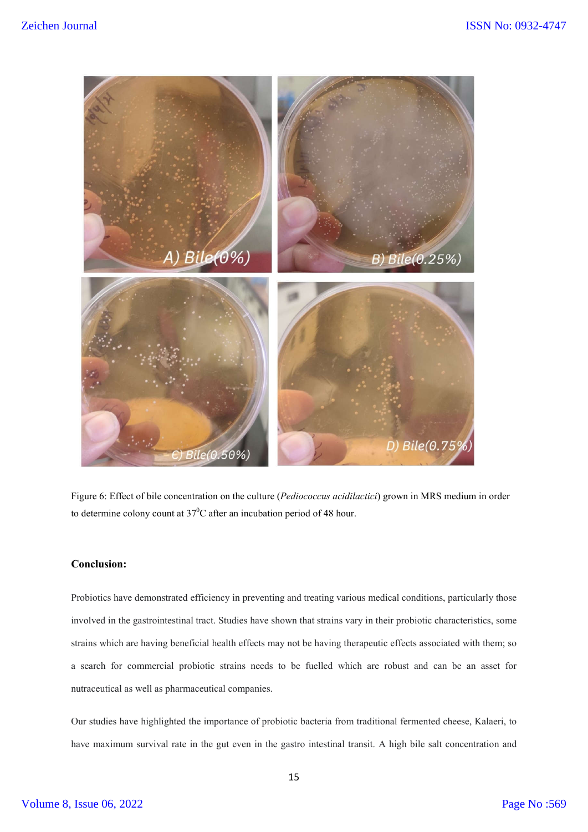

Figure 6: Effect of bile concentration on the culture (*Pediococcus acidilactici*) grown in MRS medium in order to determine colony count at 37<sup>0</sup>C after an incubation period of 48 hour.

## **Conclusion:**

Probiotics have demonstrated efficiency in preventing and treating various medical conditions, particularly those involved in the gastrointestinal tract. Studies have shown that strains vary in their probiotic characteristics, some strains which are having beneficial health effects may not be having therapeutic effects associated with them; so a search for commercial probiotic strains needs to be fuelled which are robust and can be an asset for nutraceutical as well as pharmaceutical companies.

Our studies have highlighted the importance of probiotic bacteria from traditional fermented cheese, Kalaeri, to have maximum survival rate in the gut even in the gastro intestinal transit. A high bile salt concentration and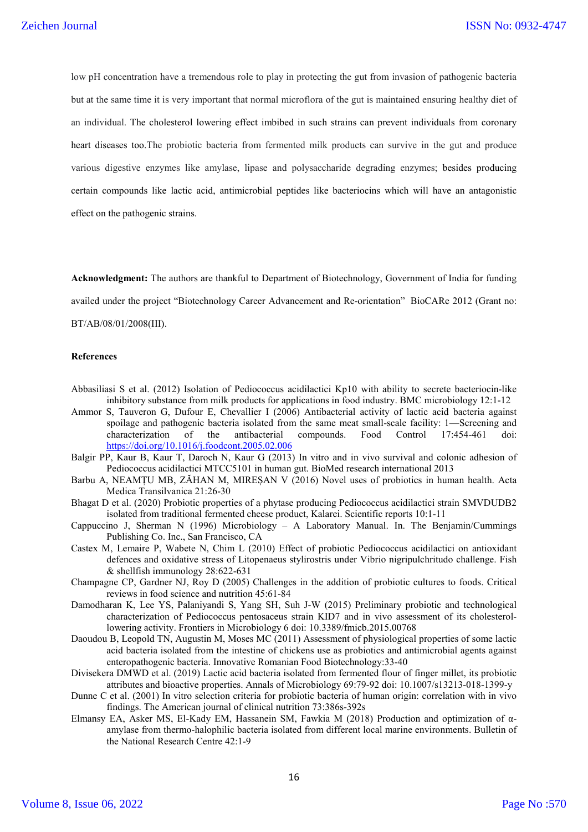low pH concentration have a tremendous role to play in protecting the gut from invasion of pathogenic bacteria but at the same time it is very important that normal microflora of the gut is maintained ensuring healthy diet of an individual. The cholesterol lowering effect imbibed in such strains can prevent individuals from coronary heart diseases too.The probiotic bacteria from fermented milk products can survive in the gut and produce various digestive enzymes like amylase, lipase and polysaccharide degrading enzymes; besides producing certain compounds like lactic acid, antimicrobial peptides like bacteriocins which will have an antagonistic effect on the pathogenic strains.

**Acknowledgment:** The authors are thankful to Department of Biotechnology, Government of India for funding availed under the project "Biotechnology Career Advancement and Re-orientation" BioCARe 2012 (Grant no: BT/AB/08/01/2008(III).

#### **References**

- Abbasiliasi S et al. (2012) Isolation of Pediococcus acidilactici Kp10 with ability to secrete bacteriocin-like inhibitory substance from milk products for applications in food industry. BMC microbiology 12:1-12
- Ammor S, Tauveron G, Dufour E, Chevallier I (2006) Antibacterial activity of lactic acid bacteria against spoilage and pathogenic bacteria isolated from the same meat small-scale facility: 1—Screening and characterization of the antibacterial compounds. Food Control 17:454-461 doi: https://doi.org/10.1016/j.foodcont.2005.02.006
- Balgir PP, Kaur B, Kaur T, Daroch N, Kaur G (2013) In vitro and in vivo survival and colonic adhesion of Pediococcus acidilactici MTCC5101 in human gut. BioMed research international 2013
- Barbu A, NEAMȚU MB, ZĂHAN M, MIREȘAN V (2016) Novel uses of probiotics in human health. Acta Medica Transilvanica 21:26-30
- Bhagat D et al. (2020) Probiotic properties of a phytase producing Pediococcus acidilactici strain SMVDUDB2 isolated from traditional fermented cheese product, Kalarei. Scientific reports 10:1-11
- Cappuccino J, Sherman N (1996) Microbiology A Laboratory Manual. In. The Benjamin/Cummings Publishing Co. Inc., San Francisco, CA
- Castex M, Lemaire P, Wabete N, Chim L (2010) Effect of probiotic Pediococcus acidilactici on antioxidant defences and oxidative stress of Litopenaeus stylirostris under Vibrio nigripulchritudo challenge. Fish & shellfish immunology 28:622-631
- Champagne CP, Gardner NJ, Roy D (2005) Challenges in the addition of probiotic cultures to foods. Critical reviews in food science and nutrition 45:61-84
- Damodharan K, Lee YS, Palaniyandi S, Yang SH, Suh J-W (2015) Preliminary probiotic and technological characterization of Pediococcus pentosaceus strain KID7 and in vivo assessment of its cholesterollowering activity. Frontiers in Microbiology 6 doi: 10.3389/fmicb.2015.00768
- Daoudou B, Leopold TN, Augustin M, Moses MC (2011) Assessment of physiological properties of some lactic acid bacteria isolated from the intestine of chickens use as probiotics and antimicrobial agents against enteropathogenic bacteria. Innovative Romanian Food Biotechnology:33-40
- Divisekera DMWD et al. (2019) Lactic acid bacteria isolated from fermented flour of finger millet, its probiotic attributes and bioactive properties. Annals of Microbiology 69:79-92 doi: 10.1007/s13213-018-1399-y
- Dunne C et al. (2001) In vitro selection criteria for probiotic bacteria of human origin: correlation with in vivo findings. The American journal of clinical nutrition 73:386s-392s
- Elmansy EA, Asker MS, El-Kady EM, Hassanein SM, Fawkia M (2018) Production and optimization of αamylase from thermo-halophilic bacteria isolated from different local marine environments. Bulletin of the National Research Centre 42:1-9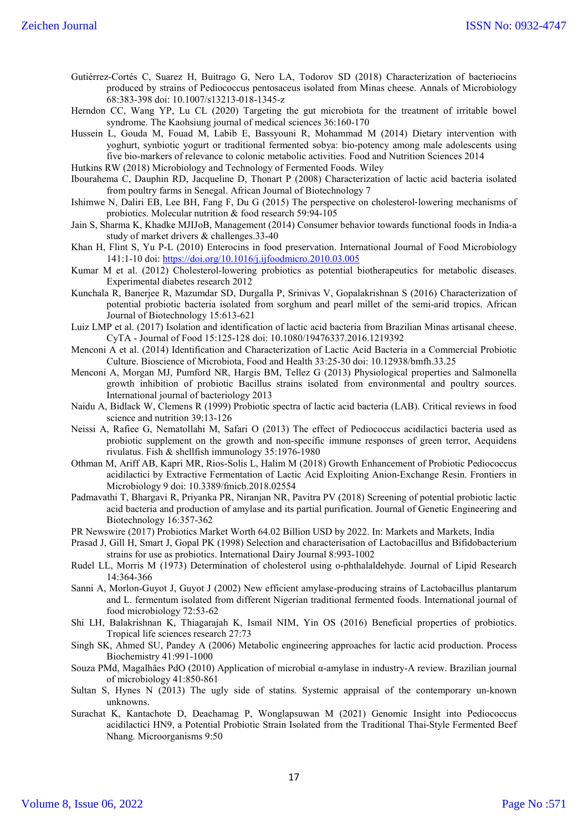- Gutiérrez-Cortés C, Suarez H, Buitrago G, Nero LA, Todorov SD (2018) Characterization of bacteriocins produced by strains of Pediococcus pentosaceus isolated from Minas cheese. Annals of Microbiology 68:383-398 doi: 10.1007/s13213-018-1345-z
- Herndon CC, Wang YP, Lu CL (2020) Targeting the gut microbiota for the treatment of irritable bowel syndrome. The Kaohsiung journal of medical sciences 36:160-170

Hussein L, Gouda M, Fouad M, Labib E, Bassyouni R, Mohammad M (2014) Dietary intervention with yoghurt, synbiotic yogurt or traditional fermented sobya: bio-potency among male adolescents using five bio-markers of relevance to colonic metabolic activities. Food and Nutrition Sciences 2014

Hutkins RW (2018) Microbiology and Technology of Fermented Foods. Wiley

Ibourahema C, Dauphin RD, Jacqueline D, Thonart P (2008) Characterization of lactic acid bacteria isolated from poultry farms in Senegal. African Journal of Biotechnology 7

- Ishimwe N, Daliri EB, Lee BH, Fang F, Du G (2015) The perspective on cholesterol-lowering mechanisms of probiotics. Molecular nutrition & food research 59:94-105
- Jain S, Sharma K, Khadke MJIJoB, Management (2014) Consumer behavior towards functional foods in India-a study of market drivers & challenges.33-40
- Khan H, Flint S, Yu P-L (2010) Enterocins in food preservation. International Journal of Food Microbiology 141:1-10 doi: https://doi.org/10.1016/j.ijfoodmicro.2010.03.005
- Kumar M et al. (2012) Cholesterol-lowering probiotics as potential biotherapeutics for metabolic diseases. Experimental diabetes research 2012
- Kunchala R, Banerjee R, Mazumdar SD, Durgalla P, Srinivas V, Gopalakrishnan S (2016) Characterization of potential probiotic bacteria isolated from sorghum and pearl millet of the semi-arid tropics. African Journal of Biotechnology 15:613-621
- Luiz LMP et al. (2017) Isolation and identification of lactic acid bacteria from Brazilian Minas artisanal cheese. CyTA - Journal of Food 15:125-128 doi: 10.1080/19476337.2016.1219392
- Menconi A et al. (2014) Identification and Characterization of Lactic Acid Bacteria in a Commercial Probiotic Culture. Bioscience of Microbiota, Food and Health 33:25-30 doi: 10.12938/bmfh.33.25
- Menconi A, Morgan MJ, Pumford NR, Hargis BM, Tellez G (2013) Physiological properties and Salmonella growth inhibition of probiotic Bacillus strains isolated from environmental and poultry sources. International journal of bacteriology 2013
- Naidu A, Bidlack W, Clemens R (1999) Probiotic spectra of lactic acid bacteria (LAB). Critical reviews in food science and nutrition 39:13-126
- Neissi A, Rafiee G, Nematollahi M, Safari O (2013) The effect of Pediococcus acidilactici bacteria used as probiotic supplement on the growth and non-specific immune responses of green terror, Aequidens rivulatus. Fish & shellfish immunology 35:1976-1980
- Othman M, Ariff AB, Kapri MR, Rios-Solis L, Halim M (2018) Growth Enhancement of Probiotic Pediococcus acidilactici by Extractive Fermentation of Lactic Acid Exploiting Anion-Exchange Resin. Frontiers in Microbiology 9 doi: 10.3389/fmicb.2018.02554
- Padmavathi T, Bhargavi R, Priyanka PR, Niranjan NR, Pavitra PV (2018) Screening of potential probiotic lactic acid bacteria and production of amylase and its partial purification. Journal of Genetic Engineering and Biotechnology 16:357-362
- PR Newswire (2017) Probiotics Market Worth 64.02 Billion USD by 2022. In: Markets and Markets, India
- Prasad J, Gill H, Smart J, Gopal PK (1998) Selection and characterisation of Lactobacillus and Bifidobacterium strains for use as probiotics. International Dairy Journal 8:993-1002
- Rudel LL, Morris M (1973) Determination of cholesterol using o-phthalaldehyde. Journal of Lipid Research 14:364-366
- Sanni A, Morlon-Guyot J, Guyot J (2002) New efficient amylase-producing strains of Lactobacillus plantarum and L. fermentum isolated from different Nigerian traditional fermented foods. International journal of food microbiology 72:53-62
- Shi LH, Balakrishnan K, Thiagarajah K, Ismail NIM, Yin OS (2016) Beneficial properties of probiotics. Tropical life sciences research 27:73
- Singh SK, Ahmed SU, Pandey A (2006) Metabolic engineering approaches for lactic acid production. Process Biochemistry 41:991-1000
- Souza PMd, Magalhães PdO (2010) Application of microbial α-amylase in industry-A review. Brazilian journal of microbiology 41:850-861
- Sultan S, Hynes N (2013) The ugly side of statins. Systemic appraisal of the contemporary un-known unknowns.
- Surachat K, Kantachote D, Deachamag P, Wonglapsuwan M (2021) Genomic Insight into Pediococcus acidilactici HN9, a Potential Probiotic Strain Isolated from the Traditional Thai-Style Fermented Beef Nhang. Microorganisms 9:50